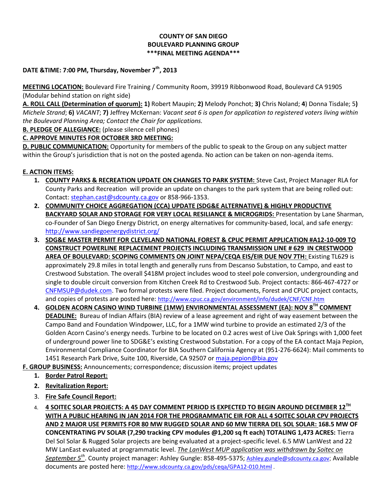#### **COUNTY OF SAN DIEGO BOULEVARD PLANNING GROUP \*\*\*FINAL MEETING AGENDA\*\*\***

### **DATE &TIME: 7:00 PM, Thursday, November 7th, 2013**

**MEETING LOCATION:** Boulevard Fire Training / Community Room, 39919 Ribbonwood Road, Boulevard CA 91905 (Modular behind station on right side)

**A. ROLL CALL (Determination of quorum): 1)** Robert Maupin; **2)** Melody Ponchot; **3)** Chris Noland; **4**) Donna Tisdale; 5**)**  *Michele Strand*; **6)** *VACANT*; **7)** Jeffrey McKernan: *Vacant seat 6 is open for application to registered voters living within the Boulevard Planning Area; Contact the Chair for applications.* 

**B. PLEDGE OF ALLEGIANCE:** (please silence cell phones)

# **C. APPROVE MINUTES FOR OCTOBER 3RD MEETING:**

**D. PUBLIC COMMUNICATION:** Opportunity for members of the public to speak to the Group on any subject matter within the Group's jurisdiction that is not on the posted agenda. No action can be taken on non-agenda items.

# **E. ACTION ITEMS:**

- **1. COUNTY PARKS & RECREATION UPDATE ON CHANGES TO PARK SYSTEM:** Steve Cast, Project Manager RLA for County Parks and Recreation will provide an update on changes to the park system that are being rolled out: Contact: [stephan.cast@sdcounty.ca.gov](mailto:stephan.cast@sdcounty.ca.gov) or 858-966-1353.
- **2. COMMUNITY CHOICE AGGREGATION (CCA) UPDATE (SDG&E ALTERNATIVE) & HIGHLY PRODUCTIVE BACKYARD SOLAR AND STORAGE FOR VERY LOCAL RESILIANCE & MICROGRIDS:** Presentation by Lane Sharman, co-Founder of San Diego Energy District, on energy alternatives for community-based, local, and safe energy: <http://www.sandiegoenergydistrict.org/>
- **3. SDG&E MASTER PERMIT FOR CLEVELAND NATIONAL FOREST & CPUC PERMIT APPLICATION #A12-10-009 TO CONSTRUCT POWERLINE REPLACEMENT PROJECTS INCLUDING TRANSMISSION LINE # 629 IN CRESTWOOD AREA OF BOULEVARD: SCOPING COMMENTS ON JOINT NEPA/CEQA EIS/EIR DUE NOV 7TH:** Existing TL629 is approximately 29.8 miles in total length and generally runs from Descanso Substation, to Campo, and east to Crestwood Substation. The overall \$418M project includes wood to steel pole conversion, undergrounding and single to double circuit conversion from Kitchen Creek Rd to Crestwood Sub. Project contacts: 866-467-4727 or [CNFMSUP@dudek.com.](mailto:CNFMSUP@dudek.com) Two formal protests were filed. Project documents, Forest and CPUC project contacts, and copies of protests are posted here: <http://www.cpuc.ca.gov/environment/info/dudek/CNF/CNF.htm>
- **4. GOLDEN ACORN CASINO WIND TURBINE (1MW) ENVIRONMENTAL ASSESSMENT (EA): NOV 8TH COMMENT DEADLINE:** Bureau of Indian Affairs (BIA) review of a lease agreement and right of way easement between the Campo Band and Foundation Windpower, LLC, for a 1MW wind turbine to provide an estimated 2/3 of the Golden Acorn Casino's energy needs. Turbine to be located on 0.2 acres west of Live Oak Springs with 1,000 feet of underground power line to SDG&E's existing Crestwood Substation. For a copy of the EA contact Maja Pepion, Environmental Compliance Coordinator for BIA Southern California Agency at (951-276-6624): Mail comments to 1451 Research Park Drive, Suite 100, Riverside, CA 92507 or [maja.pepion@bia.gov](mailto:maja.pepion@bia.gov)
- **F. GROUP BUSINESS:** Announcements; correspondence; discussion items; project updates
	- **1. Border Patrol Report:**
	- **2. Revitalization Report:**
	- 3. **Fire Safe Council Report:**
	- 4. **4 SOITEC SOLAR PROJECTS: A 45 DAY COMMENT PERIOD IS EXPECTED TO BEGIN AROUND DECEMBER 12TH WITH A PUBLIC HEARING IN JAN 2014 FOR THE PROGRAMMATIC EIR FOR ALL 4 SOITEC SOLAR CPV PROJECTS AND 2 MAJOR USE PERMITS FOR 80 MW RUGGED SOLAR AND 60 MW TIERRA DEL SOL SOLAR: 168.5 MW OF CONCENTRATING PV SOLAR (7,290 tracking CPV modules @1,200 sq ft each) TOTALING 1,473 ACRES:** Tierra Del Sol Solar & Rugged Solar projects are being evaluated at a project-specific level. 6.5 MW LanWest and 22 MW LanEast evaluated at programmatic level. *The LanWest MUP application was withdrawn by Soitec on September 5th* . County project manager: Ashley Gungle: 858-495-5375; [Ashley.gungle@sdcounty.ca.gov](mailto:Ashley.gungle@sdcounty.ca.gov); Available documents are posted here: <http://www.sdcounty.ca.gov/pds/ceqa/GPA12-010.html> .